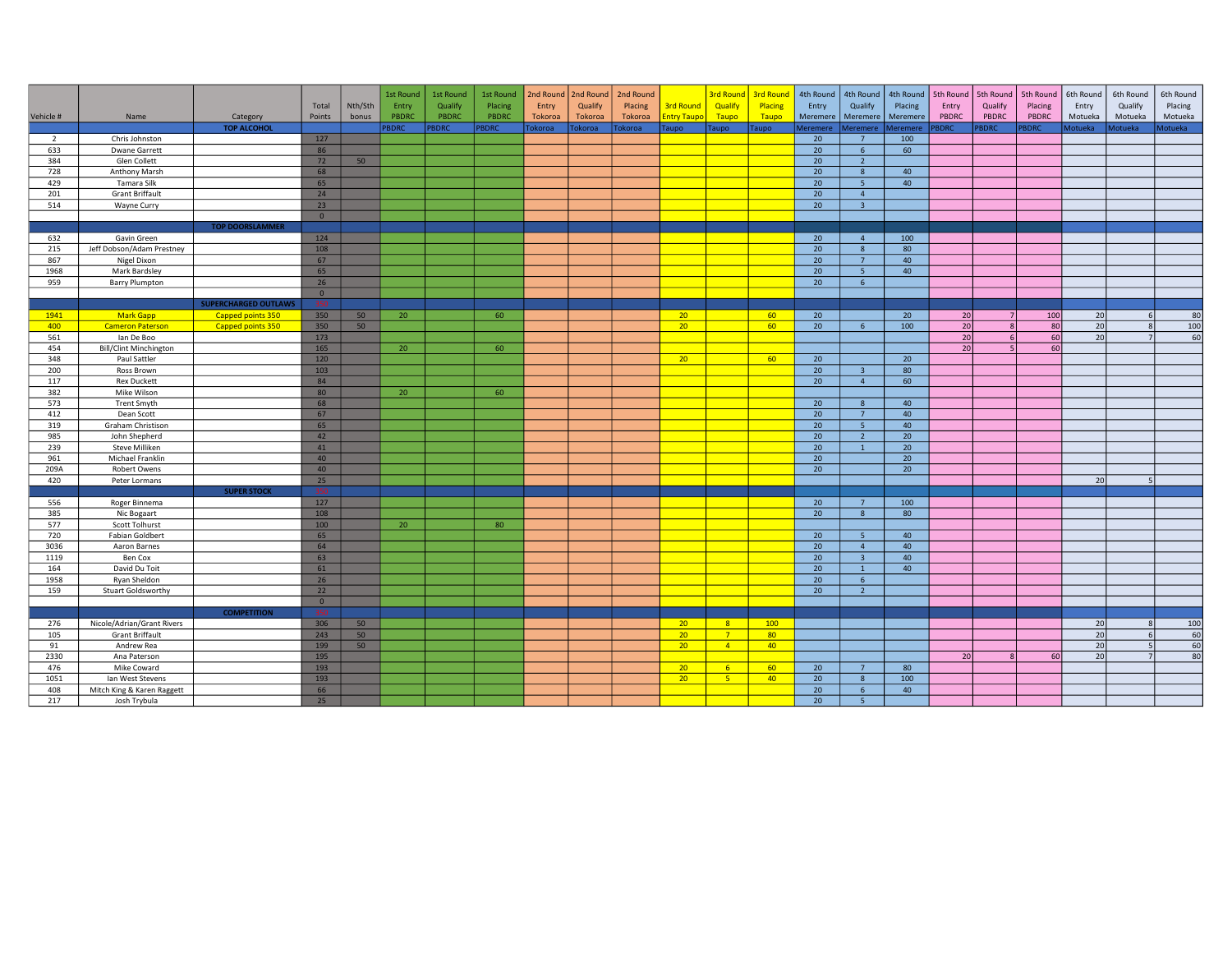|                |                               |                             |                |         | 1st Round    | 1st Round   | 1st Round    | 2nd Round   2nd Round |         | 2nd Round |                  | <b>3rd Round</b> | <b>3rd Round</b> | 4th Round       | 4th Round               | 4th Round | 5th Round    | 5th Round      | 5th Round   | 6th Round       | 6th Round        | 6th Round      |
|----------------|-------------------------------|-----------------------------|----------------|---------|--------------|-------------|--------------|-----------------------|---------|-----------|------------------|------------------|------------------|-----------------|-------------------------|-----------|--------------|----------------|-------------|-----------------|------------------|----------------|
|                |                               |                             | Total          | Nth/Sth | Entry        | Qualify     | Placing      | Entry                 | Qualify | Placing   | <b>3rd Round</b> | Qualify          | Placing          | Entry           | Qualify                 | Placing   | Entry        | Qualify        | Placing     | Entry           | Qualify          | Placing        |
| Vehicle #      | Name                          | Category                    | Points         | bonus   | PBDRC        | PBDRC       | <b>PBDRC</b> | Tokoroa               | Tokoroa | Tokoroa   | ntry Taupo       | Taupo            | Taupo            | Meremere        | Meremere                | Meremere  | <b>PBDRC</b> | PBDRC          | PBDRC       | Motueka         | Motueka          | Motueka        |
|                |                               | <b>TOP ALCOHOL</b>          |                |         | <b>PBDRC</b> | <b>BDRC</b> | PBDRC        | Tokoroa               | okoroa  | okoroa    | <b>Taupo</b>     | <b>Taupo</b>     | Taupo            | Meremere        | Meremere                | leremere  | <b>SDRC</b>  | <b>BDRC</b>    | <b>BDRC</b> | Motueka         | <b>1otueka</b>   | <b>lotueka</b> |
| $\overline{2}$ | Chris Johnston                |                             | 127            |         |              |             |              |                       |         |           |                  |                  |                  | 20              | $\overline{7}$          | 100       |              |                |             |                 |                  |                |
| 633            | <b>Dwane Garrett</b>          |                             | 86             |         |              |             |              |                       |         |           |                  |                  |                  | 20 <sup>°</sup> | 6 <sup>1</sup>          | 60        |              |                |             |                 |                  |                |
| 384            | Glen Collett                  |                             | 72             | 50      |              |             |              |                       |         |           |                  |                  |                  | 20 <sup>°</sup> | $\overline{2}$          |           |              |                |             |                 |                  |                |
| 728            | Anthony Marsh                 |                             | 68             |         |              |             |              |                       |         |           |                  |                  |                  | 20 <sup>°</sup> | 8                       | 40        |              |                |             |                 |                  |                |
| 429            | Tamara Silk                   |                             | 65             |         |              |             |              |                       |         |           |                  |                  |                  | 20 <sub>2</sub> | 5 <sup>1</sup>          | 40        |              |                |             |                 |                  |                |
| 201            | <b>Grant Briffault</b>        |                             | 24             |         |              |             |              |                       |         |           |                  |                  |                  | $\overline{20}$ | $\overline{4}$          |           |              |                |             |                 |                  |                |
| 514            | Wayne Curry                   |                             | 23             |         |              |             |              |                       |         |           |                  |                  |                  | 20              | 3 <sup>2</sup>          |           |              |                |             |                 |                  |                |
|                |                               |                             | $\overline{0}$ |         |              |             |              |                       |         |           |                  |                  |                  |                 |                         |           |              |                |             |                 |                  |                |
|                |                               | <b>TOP DOORSLAMMER</b>      |                |         |              |             |              |                       |         |           |                  |                  |                  |                 |                         |           |              |                |             |                 |                  |                |
| 632            | Gavin Green                   |                             | 124            |         |              |             |              |                       |         |           |                  |                  |                  | 20              | $\overline{4}$          | 100       |              |                |             |                 |                  |                |
| 215            | Jeff Dobson/Adam Prestney     |                             | 108            |         |              |             |              |                       |         |           |                  |                  |                  | 20 <sup>°</sup> | 8                       | 80        |              |                |             |                 |                  |                |
| 867            | Nigel Dixon                   |                             | 67             |         |              |             |              |                       |         |           |                  |                  |                  | $\overline{20}$ | 7 <sup>7</sup>          | 40        |              |                |             |                 |                  |                |
| 1968           | Mark Bardsley                 |                             | 65             |         |              |             |              |                       |         |           |                  |                  |                  | 20 <sub>2</sub> | 5 <sub>1</sub>          | 40        |              |                |             |                 |                  |                |
| 959            | <b>Barry Plumpton</b>         |                             | 26             |         |              |             |              |                       |         |           |                  |                  |                  | 20 <sup>°</sup> | 6 <sup>1</sup>          |           |              |                |             |                 |                  |                |
|                |                               |                             | $\overline{0}$ |         |              |             |              |                       |         |           |                  |                  |                  |                 |                         |           |              |                |             |                 |                  |                |
|                |                               | <b>SUPERCHARGED OUTLAWS</b> | 350            |         |              |             |              |                       |         |           |                  |                  |                  |                 |                         |           |              |                |             |                 |                  |                |
| 1941           | <b>Mark Gapp</b>              | Capped points 350           | 350            | 50      | 20           |             | 60           |                       |         |           | 20               |                  | 60               | 20              |                         | 20        | 20           | 7              | 100         | 20              | 6                | 80             |
| 400            | <b>Cameron Paterson</b>       | Capped points 350           | 350            | 50      |              |             |              |                       |         |           | 20               |                  | 60               | 20 <sup>°</sup> | 6                       | 100       | 20           | $\mathbf{g}$   | 80          | 20              | $\mathbf{g}$     | 100            |
| 561            | lan De Boo                    |                             | 173            |         |              |             |              |                       |         |           |                  |                  |                  |                 |                         |           | 20           | 6              | 60          | 20              | $\overline{7}$   | 60             |
| 454            | <b>Bill/Clint Minchington</b> |                             | 165            |         | 20           |             | 60           |                       |         |           |                  |                  |                  |                 |                         |           | 20           | 5 <sub>1</sub> | 60          |                 |                  |                |
| 348            | Paul Sattler                  |                             | 120            |         |              |             |              |                       |         |           | 20               |                  | 60               | 20              |                         | 20        |              |                |             |                 |                  |                |
| 200            | Ross Brown                    |                             | 103            |         |              |             |              |                       |         |           |                  |                  |                  | 20 <sup>°</sup> | $\overline{\mathbf{3}}$ | 80        |              |                |             |                 |                  |                |
| 117            | <b>Rex Duckett</b>            |                             | 84             |         |              |             |              |                       |         |           |                  |                  |                  | 20 <sup>°</sup> | $\overline{4}$          | 60        |              |                |             |                 |                  |                |
| 382            | Mike Wilson                   |                             | 80             |         | 20           |             | 60           |                       |         |           |                  |                  |                  |                 |                         |           |              |                |             |                 |                  |                |
| 573            | <b>Trent Smyth</b>            |                             | 68             |         |              |             |              |                       |         |           |                  |                  |                  | 20              | 8                       | 40        |              |                |             |                 |                  |                |
| 412            | Dean Scott                    |                             | 67             |         |              |             |              |                       |         |           |                  |                  |                  | 20              | 7 <sup>7</sup>          | 40        |              |                |             |                 |                  |                |
| 319            | Graham Christison             |                             | 65             |         |              |             |              |                       |         |           |                  |                  |                  | 20 <sup>°</sup> | 5 <sup>5</sup>          | 40        |              |                |             |                 |                  |                |
| 985            | John Shepherd                 |                             | 42             |         |              |             |              |                       |         |           |                  |                  |                  | 20 <sup>°</sup> | $\overline{2}$          | 20        |              |                |             |                 |                  |                |
| 239            | Steve Milliken                |                             | 41             |         |              |             |              |                       |         |           |                  |                  |                  | $\overline{20}$ | $\mathbf{1}$            | 20        |              |                |             |                 |                  |                |
| 961            | Michael Franklin              |                             | 40             |         |              |             |              |                       |         |           |                  |                  |                  | 20 <sup>°</sup> |                         | 20        |              |                |             |                 |                  |                |
| 209A           | <b>Robert Owens</b>           |                             | 40             |         |              |             |              |                       |         |           |                  |                  |                  | 20 <sup>°</sup> |                         | 20        |              |                |             |                 |                  |                |
| 420            | Peter Lormans                 |                             | 25             |         |              |             |              |                       |         |           |                  |                  |                  |                 |                         |           |              |                |             | 20              | 5                |                |
|                |                               | <b>SUPER STOCK</b>          |                |         |              |             |              |                       |         |           |                  |                  |                  |                 |                         |           |              |                |             |                 |                  |                |
| 556            | Roger Binnema                 |                             | 127            |         |              |             |              |                       |         |           |                  |                  |                  | 20              | $\overline{7}$          | 100       |              |                |             |                 |                  |                |
| 385            | Nic Bogaart                   |                             | 108            |         |              |             |              |                       |         |           |                  |                  |                  | 20              | 8                       | 80        |              |                |             |                 |                  |                |
| 577            | Scott Tolhurst                |                             | 100            |         | 20           |             | 80           |                       |         |           |                  |                  |                  |                 |                         |           |              |                |             |                 |                  |                |
| 720            | <b>Fabian Goldbert</b>        |                             | 65             |         |              |             |              |                       |         |           |                  |                  |                  | 20              | 5 <sup>5</sup>          | 40        |              |                |             |                 |                  |                |
| 3036           | Aaron Barnes                  |                             | 64             |         |              |             |              |                       |         |           |                  |                  |                  | $\overline{20}$ | $\overline{4}$          | 40        |              |                |             |                 |                  |                |
| 1119           | Ben Cox                       |                             | 63             |         |              |             |              |                       |         |           |                  |                  |                  | 20              | $\overline{\mathbf{3}}$ | 40        |              |                |             |                 |                  |                |
| 164            | David Du Toit                 |                             | 61             |         |              |             |              |                       |         |           |                  |                  |                  | 20 <sup>°</sup> | $\overline{1}$          | 40        |              |                |             |                 |                  |                |
| 1958           | Ryan Sheldon                  |                             | 26             |         |              |             |              |                       |         |           |                  |                  |                  | 20              | 6 <sup>5</sup>          |           |              |                |             |                 |                  |                |
| 159            | Stuart Goldsworthy            |                             | 22             |         |              |             |              |                       |         |           |                  |                  |                  | 20 <sup>°</sup> | $\overline{2}$          |           |              |                |             |                 |                  |                |
|                |                               |                             | $\mathbf{0}$   |         |              |             |              |                       |         |           |                  |                  |                  |                 |                         |           |              |                |             |                 |                  |                |
|                |                               | <b>COMPETITION</b>          | -350           |         |              |             |              |                       |         |           |                  |                  |                  |                 |                         |           |              |                |             |                 |                  |                |
| 276            | Nicole/Adrian/Grant Rivers    |                             | 306            | 50      |              |             |              |                       |         |           | 20 <sup>2</sup>  | 8 <sup>2</sup>   | 100              |                 |                         |           |              |                |             | 20              | $\mathbf{g}$     | 100            |
| 105            | <b>Grant Briffault</b>        |                             | 243            | 50      |              |             |              |                       |         |           | 20               | 7 <sup>7</sup>   | 80               |                 |                         |           |              |                |             | 20              | $6 \overline{6}$ | 60             |
| 91             | Andrew Rea                    |                             | 199            | 50      |              |             |              |                       |         |           | 20               | $\sqrt{4}$       | 40               |                 |                         |           |              |                |             | 20              | $\overline{5}$   | 60             |
| 2330           | Ana Paterson                  |                             | 195            |         |              |             |              |                       |         |           |                  |                  |                  |                 |                         |           | 20           |                | 60          | $\overline{20}$ |                  | 80             |
| 476            | Mike Coward                   |                             | 193            |         |              |             |              |                       |         |           | 20               | 6 <sup>1</sup>   | 60               | 20              | $\overline{7}$          | 80        |              |                |             |                 |                  |                |
| 1051           | Ian West Stevens              |                             | 193            |         |              |             |              |                       |         |           | 20 <sub>2</sub>  | 5 <sub>o</sub>   | 40 <sup>°</sup>  | 20 <sup>°</sup> | 8                       | 100       |              |                |             |                 |                  |                |
| 408            | Mitch King & Karen Raggett    |                             | 66             |         |              |             |              |                       |         |           |                  |                  |                  | 20              | $6^{\circ}$             | 40        |              |                |             |                 |                  |                |
| 217            | Josh Trybula                  |                             | 25             |         |              |             |              |                       |         |           |                  |                  |                  | 20              | $\overline{\mathbf{5}}$ |           |              |                |             |                 |                  |                |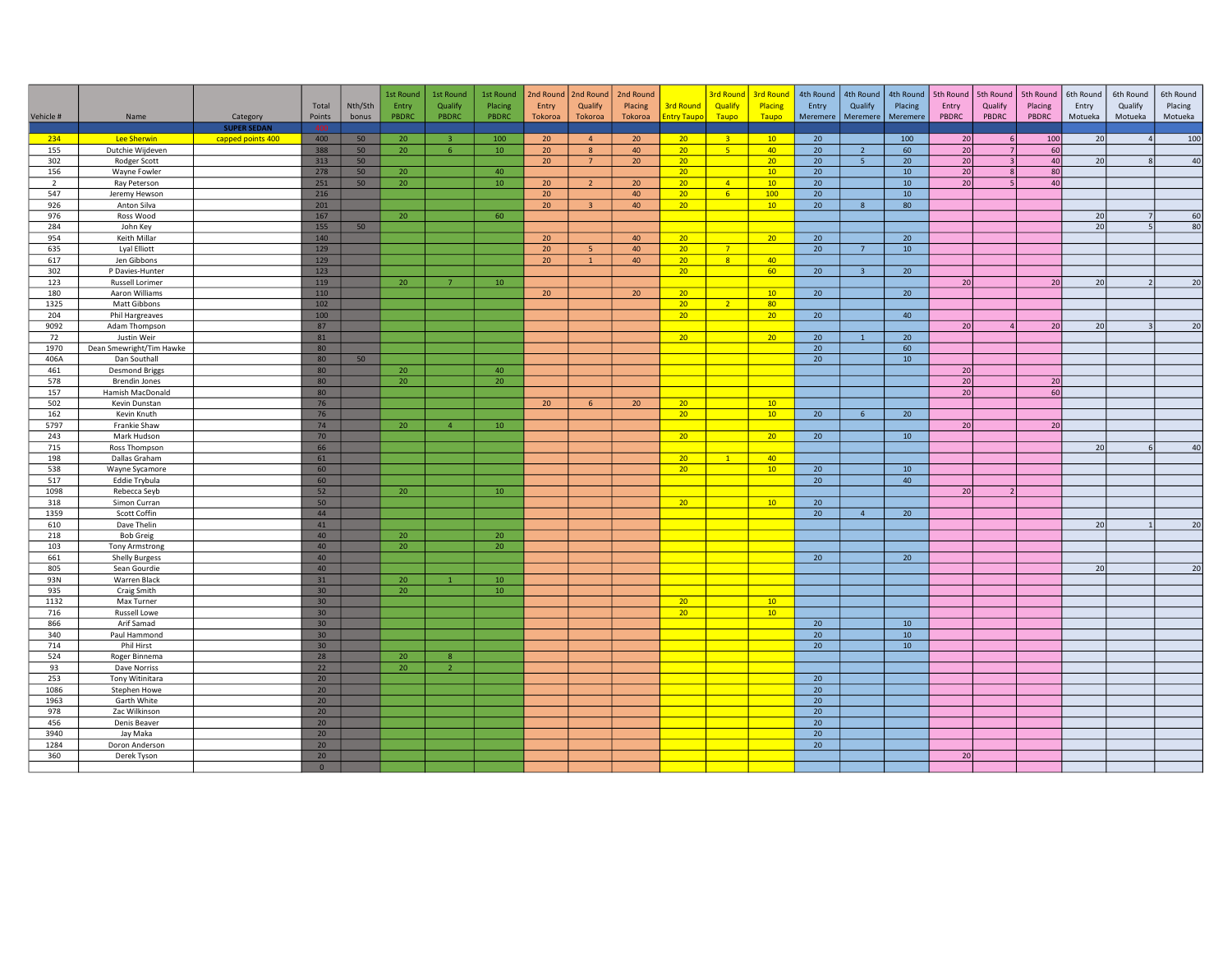|                |                                 |                    |                       |         | 1st Round | 1st Round      | 1st Round       | 2nd Round             | 2nd Round               | 2nd Round |                                    | <b>3rd Round</b> | <b>3rd Round</b>       | 4th Round             | 4th Round               |                 | 4th Round   5th Round | 5th Round            | 5th Round | 6th Round       | 6th Round        | 6th Round |
|----------------|---------------------------------|--------------------|-----------------------|---------|-----------|----------------|-----------------|-----------------------|-------------------------|-----------|------------------------------------|------------------|------------------------|-----------------------|-------------------------|-----------------|-----------------------|----------------------|-----------|-----------------|------------------|-----------|
|                |                                 |                    | Total                 | Nth/Sth | Entry     | Qualify        | Placing         | Entry                 | Qualify                 | Placing   | <b>3rd Round</b>                   | Qualify          | Placing                | Entry                 | Qualify                 | Placing         | Entry                 | Qualify              | Placing   | Entry           | Qualify          | Placing   |
| Vehicle #      | Name                            | Category           | Points                | bonus   | PBDRC     | PBDRC          | PBDRC           | Tokoroa               | Tokoroa                 | Tokoroa   | <b>Entry Taupo</b>                 | Taupo            | Taupo                  | Meremere              | Meremere                | Meremere        | PBDRC                 | PBDRC                | PBDRC     | Motueka         | Motueka          | Motueka   |
|                |                                 | <b>SUPER SEDAN</b> |                       |         |           |                |                 |                       |                         |           |                                    |                  |                        |                       |                         |                 |                       |                      |           |                 |                  |           |
| 234            | Lee Sherwin                     | capped points 400  | 400                   | 50      | 20        | $\overline{3}$ | 100             | 20 <sup>°</sup>       | $\overline{4}$          | 20        | 20                                 | 3 <sup>o</sup>   | 10                     | 20                    |                         | 100             | 20                    | 6                    | 100       | 20              | 4                | 100       |
| 155            | Dutchie Wijdeven                |                    | 388                   | 50      | 20        | 6              | 10 <sup>°</sup> | 20                    | 8                       | 40        | 20 <sup>2</sup>                    | $-5$             | 40                     | 20 <sub>2</sub>       | $\overline{2}$          | 60              | 20                    | 7                    | 60        |                 |                  |           |
| 302            | Rodger Scott                    |                    | 313                   | 50      |           |                |                 | 20 <sup>2</sup>       | $\overline{7}$          | 20        | 20 <sup>2</sup>                    |                  | 20 <sup>°</sup>        | 20 <sup>°</sup>       | 5 <sup>1</sup>          | 20              | $\overline{20}$       | $\overline{3}$       | 40        | $\overline{20}$ |                  | 40        |
| 156            | Wayne Fowler                    |                    | 278                   | 50      | 20        |                | 40              |                       |                         |           | 20 <sub>2</sub>                    |                  | 10 <sup>°</sup>        | 20 <sub>2</sub>       |                         | 10 <sup>°</sup> | 20                    | 8                    | 80        |                 |                  |           |
| $\overline{2}$ | Ray Peterson                    |                    | 251                   | 50      | 20        |                | 10              | 20 <sup>°</sup>       | $\overline{2}$          | 20        | 20                                 | $\overline{4}$   | 10                     | 20 <sub>2</sub>       |                         | $10-10$         | 20                    | $\vert$ <sub>5</sub> | 40        |                 |                  |           |
| 547            | Jeremy Hewson                   |                    | 216<br>201            |         |           |                |                 | 20 <sup>°</sup><br>20 | $\overline{\mathbf{3}}$ | 40<br>40  | 20 <sup>°</sup><br>20 <sup>2</sup> | 6 <sup>1</sup>   | 100<br>10 <sup>°</sup> | 20 <sub>2</sub><br>20 | 8                       | 10<br>80        |                       |                      |           |                 |                  |           |
| 926<br>976     | Anton Silva<br>Ross Wood        |                    | 167                   |         | 20        |                | 60              |                       |                         |           |                                    |                  |                        |                       |                         |                 |                       |                      |           | 20              |                  | 60        |
| 284            | John Key                        |                    | 155                   | 50      |           |                |                 |                       |                         |           |                                    |                  |                        |                       |                         |                 |                       |                      |           | 20              |                  | 80        |
| 954            | Keith Millar                    |                    | 140                   |         |           |                |                 | 20 <sub>2</sub>       |                         | 40        | 20                                 |                  | 20                     | 20 <sup>°</sup>       |                         | 20              |                       |                      |           |                 |                  |           |
| 635            | Lyal Elliott                    |                    | 129                   |         |           |                |                 | 20                    | -5                      | 40        | 20 <sub>2</sub>                    | 7 <sup>7</sup>   |                        | 20 <sup>°</sup>       | 7 <sup>7</sup>          | 10              |                       |                      |           |                 |                  |           |
| 617            | Jen Gibbons                     |                    | 129                   |         |           |                |                 | 20                    | $\overline{1}$          | 40        | 20 <sup>°</sup>                    | 8 <sup>1</sup>   | 40                     |                       |                         |                 |                       |                      |           |                 |                  |           |
| 302            | P Davies-Hunter                 |                    | 123                   |         |           |                |                 |                       |                         |           | 20 <sub>2</sub>                    |                  | 60                     | 20 <sub>2</sub>       | $\overline{\mathbf{3}}$ | 20              |                       |                      |           |                 |                  |           |
| 123            | Russell Lorimer                 |                    | 119                   |         | 20        | $\overline{7}$ | 10              |                       |                         |           |                                    |                  |                        |                       |                         |                 | 20                    |                      | 20        | 20              | $\overline{2}$   | 20        |
| 180            | Aaron Williams                  |                    | 110                   |         |           |                |                 | 20 <sup>°</sup>       |                         | 20        | 20                                 |                  | 10                     | 20 <sub>2</sub>       |                         | 20              |                       |                      |           |                 |                  |           |
| 1325           | Matt Gibbons                    |                    | 102                   |         |           |                |                 |                       |                         |           | 20 <sub>2</sub>                    | 2 <sup>2</sup>   | 80                     |                       |                         |                 |                       |                      |           |                 |                  |           |
| 204            | Phil Hargreaves                 |                    | 100                   |         |           |                |                 |                       |                         |           | 20 <sup>2</sup>                    |                  | 20 <sup>°</sup>        | 20 <sub>2</sub>       |                         | 40              |                       |                      |           |                 |                  |           |
| 9092           | Adam Thompson                   |                    | 87                    |         |           |                |                 |                       |                         |           |                                    |                  |                        |                       |                         |                 | 20                    |                      | 20        | $\overline{20}$ |                  | 20        |
| 72             | Justin Weir                     |                    | 81                    |         |           |                |                 |                       |                         |           | 20                                 |                  | 20 <sup>°</sup>        | 20 <sub>2</sub>       | $\mathbf{1}$            | 20              |                       |                      |           |                 |                  |           |
| 1970           | Dean Smewright/Tim Hawke        |                    | 80                    |         |           |                |                 |                       |                         |           |                                    |                  |                        | 20 <sub>2</sub>       |                         | 60              |                       |                      |           |                 |                  |           |
| 406A           | Dan Southall                    |                    | 80                    | 50      |           |                |                 |                       |                         |           |                                    |                  |                        | 20 <sub>2</sub>       |                         | 10              |                       |                      |           |                 |                  |           |
| 461            | <b>Desmond Briggs</b>           |                    | 80                    |         | 20        |                | 40              |                       |                         |           |                                    |                  |                        |                       |                         |                 | 20                    |                      |           |                 |                  |           |
| 578            | <b>Brendin Jones</b>            |                    | 80                    |         | 20        |                | 20              |                       |                         |           |                                    |                  |                        |                       |                         |                 | 20                    |                      | 20        |                 |                  |           |
| 157            | Hamish MacDonald                |                    | 80                    |         |           |                |                 |                       |                         |           |                                    |                  |                        |                       |                         |                 | $\overline{20}$       |                      | 60        |                 |                  |           |
| 502            | Kevin Dunstan                   |                    | 76                    |         |           |                |                 | 20                    | 6                       | 20        | 20                                 |                  | 10                     |                       |                         |                 |                       |                      |           |                 |                  |           |
| 162            | Kevin Knuth                     |                    | 76                    |         |           |                |                 |                       |                         |           | 20 <sub>2</sub>                    |                  | 10                     | 20 <sup>°</sup>       | 6 <sup>1</sup>          | 20              |                       |                      |           |                 |                  |           |
| 5797           | Frankie Shaw                    |                    | 74                    |         | 20        | $\overline{4}$ | 10              |                       |                         |           |                                    |                  |                        |                       |                         |                 | 20                    |                      | 20        |                 |                  |           |
| 243            | Mark Hudson                     |                    | 70                    |         |           |                |                 |                       |                         |           | 20 <sub>2</sub>                    |                  | 20 <sup>°</sup>        | 20 <sub>2</sub>       |                         | 10              |                       |                      |           |                 |                  |           |
| 715            | Ross Thompson                   |                    | 66                    |         |           |                |                 |                       |                         |           |                                    |                  |                        |                       |                         |                 |                       |                      |           | 20              | $6 \overline{6}$ | 40        |
| 198            | Dallas Graham                   |                    | 61                    |         |           |                |                 |                       |                         |           | 20                                 | $\mathbf{1}$     | 40                     |                       |                         |                 |                       |                      |           |                 |                  |           |
| 538<br>517     | Wayne Sycamore<br>Eddie Trybula |                    | 60<br>60              |         |           |                |                 |                       |                         |           | 20 <sub>2</sub>                    |                  | 10                     | 20 <sub>2</sub><br>20 |                         | 10<br>40        |                       |                      |           |                 |                  |           |
| 1098           | Rebecca Seyb                    |                    | 52                    |         | 20        |                | 10 <sup>°</sup> |                       |                         |           |                                    |                  |                        |                       |                         |                 | 20                    |                      |           |                 |                  |           |
| 318            | Simon Curran                    |                    | 50                    |         |           |                |                 |                       |                         |           | 20                                 |                  | 10                     | 20 <sub>2</sub>       |                         |                 |                       |                      |           |                 |                  |           |
| 1359           | Scott Coffin                    |                    | 44                    |         |           |                |                 |                       |                         |           |                                    |                  |                        | 20 <sup>°</sup>       | $\overline{4}$          | 20              |                       |                      |           |                 |                  |           |
| 610            | Dave Thelin                     |                    | 41                    |         |           |                |                 |                       |                         |           |                                    |                  |                        |                       |                         |                 |                       |                      |           | 20              |                  | 20        |
| 218            | <b>Bob Greig</b>                |                    | 40                    |         | 20        |                | 20              |                       |                         |           |                                    |                  |                        |                       |                         |                 |                       |                      |           |                 |                  |           |
| 103            | <b>Tony Armstrong</b>           |                    | 40                    |         | 20        |                | 20 <sup>°</sup> |                       |                         |           |                                    |                  |                        |                       |                         |                 |                       |                      |           |                 |                  |           |
| 661            | <b>Shelly Burgess</b>           |                    | 40                    |         |           |                |                 |                       |                         |           |                                    |                  |                        | 20 <sup>°</sup>       |                         | 20              |                       |                      |           |                 |                  |           |
| 805            | Sean Gourdie                    |                    | 40                    |         |           |                |                 |                       |                         |           |                                    |                  |                        |                       |                         |                 |                       |                      |           | 20              |                  | 20        |
| 93N            | Warren Black                    |                    | 31                    |         | 20        |                | 10 <sup>°</sup> |                       |                         |           |                                    |                  |                        |                       |                         |                 |                       |                      |           |                 |                  |           |
| 935            | Craig Smith                     |                    | 30 <sup>7</sup>       |         | 20        |                | 10              |                       |                         |           |                                    |                  |                        |                       |                         |                 |                       |                      |           |                 |                  |           |
| 1132           | Max Turner                      |                    | 30 <sup>°</sup>       |         |           |                |                 |                       |                         |           | 20 <sup>2</sup>                    |                  | 10                     |                       |                         |                 |                       |                      |           |                 |                  |           |
| 716            | Russell Lowe                    |                    | 30 <sub>2</sub>       |         |           |                |                 |                       |                         |           | 20 <sup>2</sup>                    |                  | 10                     |                       |                         |                 |                       |                      |           |                 |                  |           |
| 866            | Arif Samad                      |                    | 30                    |         |           |                |                 |                       |                         |           |                                    |                  |                        | 20 <sub>2</sub>       |                         | 10              |                       |                      |           |                 |                  |           |
| 340            | Paul Hammond                    |                    | 30 <sub>2</sub>       |         |           |                |                 |                       |                         |           |                                    |                  |                        | 20 <sub>2</sub>       |                         | $10$            |                       |                      |           |                 |                  |           |
| 714            | Phil Hirst                      |                    | 30 <sup>°</sup>       |         |           |                |                 |                       |                         |           |                                    |                  |                        | 20 <sub>2</sub>       |                         | 10              |                       |                      |           |                 |                  |           |
| 524            | Roger Binnema                   |                    | 28                    |         | 20        | $\mathbf{8}$   |                 |                       |                         |           |                                    |                  |                        |                       |                         |                 |                       |                      |           |                 |                  |           |
| 93             | Dave Norriss                    |                    | 22                    |         | 20        | $\overline{2}$ |                 |                       |                         |           |                                    |                  |                        |                       |                         |                 |                       |                      |           |                 |                  |           |
| 253            | Tony Witinitara                 |                    | 20                    |         |           |                |                 |                       |                         |           |                                    |                  |                        | 20 <sup>°</sup>       |                         |                 |                       |                      |           |                 |                  |           |
| 1086           | Stephen Howe                    |                    | 20 <sup>°</sup>       |         |           |                |                 |                       |                         |           |                                    |                  |                        | 20 <sup>°</sup>       |                         |                 |                       |                      |           |                 |                  |           |
| 1963           | Garth White                     |                    | 20                    |         |           |                |                 |                       |                         |           |                                    |                  |                        | 20 <sub>2</sub>       |                         |                 |                       |                      |           |                 |                  |           |
| 978            | Zac Wilkinson                   |                    | 20 <sup>°</sup>       |         |           |                |                 |                       |                         |           |                                    |                  |                        | 20 <sup>°</sup>       |                         |                 |                       |                      |           |                 |                  |           |
| 456            | Denis Beaver                    |                    | 20 <sup>°</sup>       |         |           |                |                 |                       |                         |           |                                    |                  |                        | 20 <sup>°</sup>       |                         |                 |                       |                      |           |                 |                  |           |
| 3940           | Jay Maka                        |                    | 20                    |         |           |                |                 |                       |                         |           |                                    |                  |                        | 20 <sub>2</sub>       |                         |                 |                       |                      |           |                 |                  |           |
| 1284           | Doron Anderson                  |                    | 20 <sub>2</sub><br>20 |         |           |                |                 |                       |                         |           |                                    |                  |                        | 20 <sub>2</sub>       |                         |                 | 20                    |                      |           |                 |                  |           |
| 360            | Derek Tyson                     |                    | $\Omega$              |         |           |                |                 |                       |                         |           |                                    |                  |                        |                       |                         |                 |                       |                      |           |                 |                  |           |
|                |                                 |                    |                       |         |           |                |                 |                       |                         |           |                                    |                  |                        |                       |                         |                 |                       |                      |           |                 |                  |           |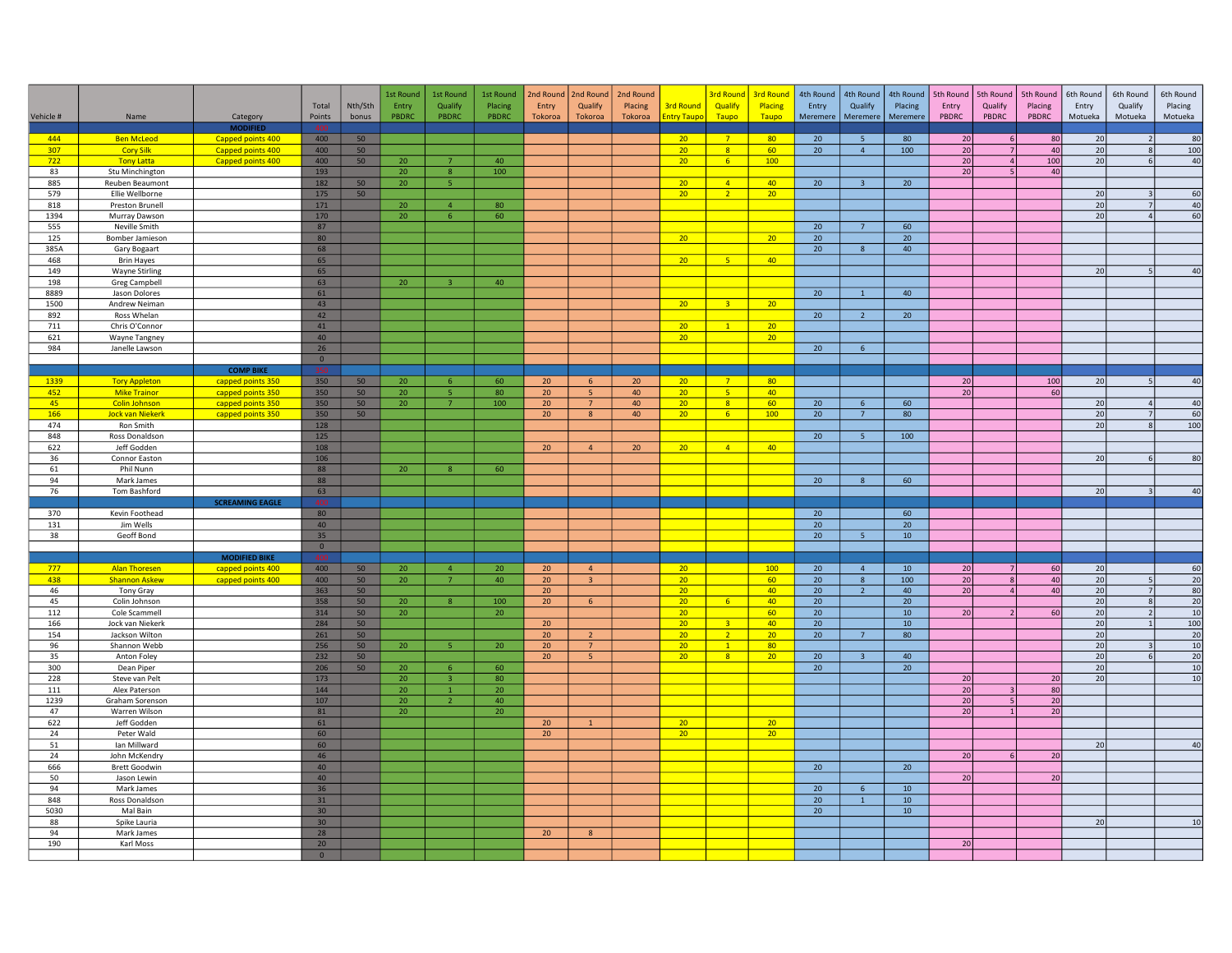| Vehicle #   | Name                                       | Category               | Total<br>Points                 | Nth/Sth<br>bonus | 1st Round<br>Entry<br>PBDRC | 1st Round<br>Qualify<br>PBDRC    | 1st Round<br>Placing<br>PBDRC | 2nd Round<br>Entry<br>Tokoroa      | 2nd Round<br>Qualify<br>Tokoroa | 2nd Round<br>Placing<br>Tokoroa | <b>3rd Round</b><br><b>Entry Taupo</b> | <b>3rd Round</b><br>Qualify<br>Taupo | <b>3rd Round</b><br>Placing<br>Taupo | 4th Round<br>Entry<br>Meremere | 4th Round<br>Qualify<br>Meremere | 4th Round<br>Placing<br>Meremere | 5th Round<br>Entry<br>PBDRC | 5th Round<br>Qualify<br>PBDRC  | 5th Round<br>Placing<br>PBDRC | 6th Round<br>Entry<br>Motueka | 6th Round<br>Qualify<br>Motueka | 6th Round<br>Placing<br>Motueka |
|-------------|--------------------------------------------|------------------------|---------------------------------|------------------|-----------------------------|----------------------------------|-------------------------------|------------------------------------|---------------------------------|---------------------------------|----------------------------------------|--------------------------------------|--------------------------------------|--------------------------------|----------------------------------|----------------------------------|-----------------------------|--------------------------------|-------------------------------|-------------------------------|---------------------------------|---------------------------------|
|             |                                            | <b>MODIFIED</b>        |                                 |                  |                             |                                  |                               |                                    |                                 |                                 |                                        |                                      |                                      |                                |                                  |                                  |                             |                                |                               |                               |                                 |                                 |
| 444         | <b>Ben McLeod</b>                          | Capped points 400      | 400                             | 50               |                             |                                  |                               |                                    |                                 |                                 | 20                                     | 7 <sup>7</sup>                       | 80                                   | 20                             | 5 <sub>5</sub>                   | 80                               | 20                          | 6                              | 80                            | 20                            |                                 | 80                              |
| 307         | <b>Cory Silk</b>                           | Capped points 400      | 400                             | 50               |                             |                                  |                               |                                    |                                 |                                 | 20 <sub>2</sub>                        | 8 <sup>°</sup>                       | 60                                   | 20                             | 4                                | 100                              | 20                          | $\overline{7}$                 | 40                            | 20                            | $\mathbf{g}$                    | 100                             |
| 722<br>83   | <b>Tony Latta</b>                          | Capped points 400      | 400                             | 50               | 20                          |                                  | 40<br>100                     |                                    |                                 |                                 | 20 <sup>°</sup>                        | 6 <sup>°</sup>                       | 100 <sub>1</sub>                     |                                |                                  |                                  | 20<br>20                    | 4<br>-5                        | 100<br>40                     | 20                            | $6 \overline{6}$                | 40                              |
| 885         | Stu Minchington<br>Reuben Beaumont         |                        | 193<br>182                      | 50               | 20<br>20                    | 8 <sup>°</sup><br>5              |                               |                                    |                                 |                                 | 20 <sub>2</sub>                        | $\vert 4 \vert$                      | 40                                   | 20 <sup>°</sup>                | 3 <sup>7</sup>                   | 20 <sub>2</sub>                  |                             |                                |                               |                               |                                 |                                 |
| 579         | Ellie Wellborne                            |                        | 175                             | 50               |                             |                                  |                               |                                    |                                 |                                 | 20 <sup>2</sup>                        | $\overline{2}$                       | 20                                   |                                |                                  |                                  |                             |                                |                               | 20                            |                                 | 60                              |
| 818         | Preston Brunell                            |                        | 171                             |                  | 20                          | $\overline{4}$                   | 80                            |                                    |                                 |                                 |                                        |                                      |                                      |                                |                                  |                                  |                             |                                |                               | 20                            | 7 <sup>1</sup>                  | 40                              |
| 1394        | Murray Dawson                              |                        | 170                             |                  | 20                          | 6                                | 60                            |                                    |                                 |                                 |                                        |                                      |                                      |                                |                                  |                                  |                             |                                |                               | 20                            | $\overline{4}$                  | 60                              |
| 555         | Neville Smith                              |                        | 87                              |                  |                             |                                  |                               |                                    |                                 |                                 |                                        |                                      |                                      | 20                             | 7 <sup>7</sup>                   | 60                               |                             |                                |                               |                               |                                 |                                 |
| 125         | Bomber Jamieson                            |                        | 80                              |                  |                             |                                  |                               |                                    |                                 |                                 | 20                                     |                                      | 20                                   | 20                             |                                  | 20 <sup>°</sup>                  |                             |                                |                               |                               |                                 |                                 |
| 385A<br>468 | Gary Bogaart                               |                        | 68                              |                  |                             |                                  |                               |                                    |                                 |                                 |                                        | 5 <sub>1</sub>                       | 40                                   | 20                             | 8                                | 40                               |                             |                                |                               |                               |                                 |                                 |
| 149         | <b>Brin Hayes</b><br><b>Wayne Stirling</b> |                        | 65<br>65                        |                  |                             |                                  |                               |                                    |                                 |                                 | 20 <sub>2</sub>                        |                                      |                                      |                                |                                  |                                  |                             |                                |                               | 20                            |                                 | 40                              |
| 198         | Greg Campbell                              |                        | 63                              |                  | 20                          | $\overline{3}$                   | 40                            |                                    |                                 |                                 |                                        |                                      |                                      |                                |                                  |                                  |                             |                                |                               |                               |                                 |                                 |
| 8889        | Jason Dolores                              |                        | 61                              |                  |                             |                                  |                               |                                    |                                 |                                 |                                        |                                      |                                      | 20 <sup>°</sup>                | $\mathbf{1}$                     | 40                               |                             |                                |                               |                               |                                 |                                 |
| 1500        | Andrew Neiman                              |                        | 43                              |                  |                             |                                  |                               |                                    |                                 |                                 | 20                                     | $\overline{\mathbf{3}}$              | 20                                   |                                |                                  |                                  |                             |                                |                               |                               |                                 |                                 |
| 892         | Ross Whelan                                |                        | 42                              |                  |                             |                                  |                               |                                    |                                 |                                 |                                        |                                      |                                      | 20                             | $\overline{2}$                   | 20 <sup>°</sup>                  |                             |                                |                               |                               |                                 |                                 |
| 711         | Chris O'Connor                             |                        | 41                              |                  |                             |                                  |                               |                                    |                                 |                                 | 20                                     | $\sqrt{1}$                           | 20                                   |                                |                                  |                                  |                             |                                |                               |                               |                                 |                                 |
| 621<br>984  | Wayne Tangney                              |                        | 40<br>26                        |                  |                             |                                  |                               |                                    |                                 |                                 | 20 <sub>2</sub>                        |                                      | 20                                   |                                | 6 <sup>1</sup>                   |                                  |                             |                                |                               |                               |                                 |                                 |
|             | Janelle Lawson                             |                        | $\overline{0}$                  |                  |                             |                                  |                               |                                    |                                 |                                 |                                        |                                      |                                      | 20 <sub>2</sub>                |                                  |                                  |                             |                                |                               |                               |                                 |                                 |
|             |                                            | <b>COMP BIKE</b>       |                                 |                  |                             |                                  |                               |                                    |                                 |                                 |                                        |                                      |                                      |                                |                                  |                                  |                             |                                |                               |                               |                                 |                                 |
| 1339        | <b>Tory Appleton</b>                       | capped points 350      | 350                             | 50               | 20                          | $6\overline{6}$                  | 60                            | 20                                 | 6                               | 20                              | 20 <sup>2</sup>                        | $\overline{7}$                       | 80                                   |                                |                                  |                                  | 20                          |                                | 100                           | 20 <sup>1</sup>               | $\vert$ 5                       | 40                              |
| 452         | <b>Mike Trainor</b>                        | capped points 350      | 350                             | 50               | 20                          | 5 <sup>7</sup>                   | 80                            | 20 <sup>°</sup>                    | -5                              | 40                              | 20 <sup>2</sup>                        | $-5$                                 | 40                                   |                                |                                  |                                  | 20                          |                                | 60                            |                               |                                 |                                 |
| 45          | <b>Colin Johnson</b>                       | capped points 350      | 350                             | 50               | 20                          | 7 <sup>7</sup>                   | 100                           | 20 <sup>°</sup>                    | $7\overline{ }$                 | 40                              | 20 <sub>2</sub>                        | $\overline{\mathbf{8}}$              | 60                                   | 20                             | $6\overline{6}$                  | 60                               |                             |                                |                               | 20                            | $\Delta$                        | 40                              |
| 166         | <b>Jock van Niekerk</b>                    | capped points 350      | 350                             | 50               |                             |                                  |                               | 20 <sup>°</sup>                    | 8                               | 40                              | 20 <sub>2</sub>                        | 6 <sup>°</sup>                       | 100                                  | 20                             | $7^{\circ}$                      | 80                               |                             |                                |                               | 20                            | 7<br>$\mathbf{R}$               | 60                              |
| 474<br>848  | Ron Smith<br>Ross Donaldson                |                        | 128<br>125                      |                  |                             |                                  |                               |                                    |                                 |                                 |                                        |                                      |                                      | 20                             | 5 <sup>1</sup>                   | 100                              |                             |                                |                               | 20                            |                                 | 100                             |
| 622         | Jeff Godden                                |                        | 108                             |                  |                             |                                  |                               | 20 <sup>°</sup>                    | $\overline{4}$                  | 20 <sub>2</sub>                 | 20 <sub>2</sub>                        | $\overline{4}$                       | 40                                   |                                |                                  |                                  |                             |                                |                               |                               |                                 |                                 |
| 36          | Connor Easton                              |                        | 106                             |                  |                             |                                  |                               |                                    |                                 |                                 |                                        |                                      |                                      |                                |                                  |                                  |                             |                                |                               | 20                            |                                 | 80                              |
| 61          | Phil Nunn                                  |                        | 88                              |                  | 20                          | $\overline{8}$                   | 60                            |                                    |                                 |                                 |                                        |                                      |                                      |                                |                                  |                                  |                             |                                |                               |                               |                                 |                                 |
| 94          | Mark James                                 |                        | 88                              |                  |                             |                                  |                               |                                    |                                 |                                 |                                        |                                      |                                      | 20                             | 8                                | 60                               |                             |                                |                               |                               |                                 |                                 |
| 76          | Tom Bashford                               |                        | 63                              |                  |                             |                                  |                               |                                    |                                 |                                 |                                        |                                      |                                      |                                |                                  |                                  |                             |                                |                               | 20                            |                                 | 40                              |
|             |                                            | <b>SCREAMING EAGLE</b> |                                 |                  |                             |                                  |                               |                                    |                                 |                                 |                                        |                                      |                                      |                                |                                  |                                  |                             |                                |                               |                               |                                 |                                 |
| 370<br>131  | Kevin Foothead<br>Jim Wells                |                        | 80<br>40                        |                  |                             |                                  |                               |                                    |                                 |                                 |                                        |                                      |                                      | 20<br>20 <sup>°</sup>          |                                  | 60<br>20                         |                             |                                |                               |                               |                                 |                                 |
| 38          | Geoff Bond                                 |                        | 35                              |                  |                             |                                  |                               |                                    |                                 |                                 |                                        |                                      |                                      | 20 <sup>°</sup>                | 5 <sub>1</sub>                   | $10$                             |                             |                                |                               |                               |                                 |                                 |
|             |                                            |                        | $\overline{0}$                  |                  |                             |                                  |                               |                                    |                                 |                                 |                                        |                                      |                                      |                                |                                  |                                  |                             |                                |                               |                               |                                 |                                 |
|             |                                            | <b>MODIFIED BIKE</b>   |                                 |                  |                             |                                  |                               |                                    |                                 |                                 |                                        |                                      |                                      |                                |                                  |                                  |                             |                                |                               |                               |                                 |                                 |
| 777         | <b>Alan Thoresen</b>                       | capped points 400      | 400                             | 50               | 20                          | $\overline{4}$                   | 20                            | 20 <sub>2</sub>                    | $\overline{4}$                  |                                 | 20 <sup>°</sup>                        |                                      | 100                                  | 20                             | $\overline{4}$                   | 10                               | 20                          | 7                              | 60                            | 20                            |                                 | 60                              |
| 438         | <b>Shannon Askew</b>                       | capped points 400      | 400                             | 50               | 20                          | 7 <sup>7</sup>                   | 40                            | 20 <sub>2</sub>                    | $\overline{3}$                  |                                 | 20                                     |                                      | 60<br>40                             | 20                             | 8                                | 100                              | 20                          | $\mathbf{g}$<br>$\overline{4}$ | 40                            | 20                            | 5 <sup>1</sup><br>7             | 20                              |
| 46<br>45    | Tony Gray<br>Colin Johnson                 |                        | 363<br>358                      | 50<br>50         | 20                          | 8                                | 100                           | 20 <sup>°</sup><br>20 <sup>°</sup> | $6\overline{6}$                 |                                 | 20 <sub>2</sub><br>20 <sup>°</sup>     | 6 <sup>7</sup>                       | 40                                   | 20<br>20                       | $\overline{2}$                   | 40<br>20 <sub>2</sub>            | 20                          |                                | 40                            | 20<br>20                      | 8 <sup>1</sup>                  | 80<br>20                        |
| 112         | Cole Scammell                              |                        | 314                             | 50               | 20                          |                                  | 20                            |                                    |                                 |                                 | 20 <sub>2</sub>                        |                                      | 60                                   | 20 <sup>°</sup>                |                                  | 10 <sup>°</sup>                  | 20                          |                                | 60                            | 20                            | $\overline{2}$                  | 10                              |
| 166         | Jock van Niekerk                           |                        | 284                             | 50               |                             |                                  |                               | 20 <sub>2</sub>                    |                                 |                                 | 20 <sub>2</sub>                        | $\overline{3}$                       | 40                                   | $20\,$                         |                                  | $10$                             |                             |                                |                               | 20                            | $\overline{1}$                  | 100                             |
| 154         | Jackson Wilton                             |                        | 261                             | 50               |                             |                                  |                               | 20 <sub>2</sub>                    | $\overline{2}$                  |                                 | 20 <sub>2</sub>                        | $\overline{2}$                       | 20                                   | 20 <sub>2</sub>                | $7\phantom{.0}$                  | 80                               |                             |                                |                               | 20                            |                                 | $\overline{20}$                 |
| 96          | Shannon Webb                               |                        | 256                             | 50               | 20                          | 5 <sup>1</sup>                   | 20                            | 20 <sub>2</sub>                    | $7^{\circ}$                     |                                 | 20 <sub>2</sub>                        | $\overline{1}$                       | 80                                   |                                |                                  |                                  |                             |                                |                               | 20                            | $\vert$ <sub>3</sub>            | 10                              |
| 35          | Anton Foley                                |                        | 232                             | 50               |                             |                                  |                               | 20                                 | 5                               |                                 | 20 <sup>2</sup>                        | 8                                    | 20 <sup>°</sup>                      | 20                             | $\overline{3}$                   | 40                               |                             |                                |                               | 20                            | 61                              | 20 <sup>1</sup>                 |
| 300<br>228  | Dean Piper<br>Steve van Pelt               |                        | 206<br>173                      | 50               | 20<br>20 <sup>°</sup>       | 6 <sup>1</sup><br>$\overline{3}$ | 60<br>80                      |                                    |                                 |                                 |                                        |                                      |                                      | 20                             |                                  | 20                               | 20                          |                                | 20                            | 20<br>20                      |                                 | 10<br>10                        |
| 111         | Alex Paterson                              |                        | 144                             |                  | 20                          | $\mathbf{1}$                     | 20                            |                                    |                                 |                                 |                                        |                                      |                                      |                                |                                  |                                  | 20                          | $\overline{3}$                 | 80                            |                               |                                 |                                 |
| 1239        | Graham Sorenson                            |                        | 107                             |                  | 20                          | $\overline{z}$                   | 40                            |                                    |                                 |                                 |                                        |                                      |                                      |                                |                                  |                                  | 20                          | 5                              | 20                            |                               |                                 |                                 |
| 47          | Warren Wilson                              |                        | 81                              |                  | 20                          |                                  | 20 <sub>2</sub>               |                                    |                                 |                                 |                                        |                                      |                                      |                                |                                  |                                  | 20                          | $\mathbf{1}$                   | 20                            |                               |                                 |                                 |
| 622         | Jeff Godden                                |                        | 61                              |                  |                             |                                  |                               | 20 <sub>2</sub>                    | $\mathbf{1}$                    |                                 | 20 <sub>2</sub>                        |                                      | 20                                   |                                |                                  |                                  |                             |                                |                               |                               |                                 |                                 |
| 24          | Peter Wald                                 |                        | 60                              |                  |                             |                                  |                               | 20 <sup>°</sup>                    |                                 |                                 | 20 <sup>°</sup>                        |                                      | 20                                   |                                |                                  |                                  |                             |                                |                               |                               |                                 |                                 |
| 51<br>24    | lan Millward                               |                        | 60                              |                  |                             |                                  |                               |                                    |                                 |                                 |                                        |                                      |                                      |                                |                                  |                                  |                             | 6                              |                               | 20                            |                                 | 40                              |
| 666         | John McKendry<br>Brett Goodwin             |                        | 46<br>40                        |                  |                             |                                  |                               |                                    |                                 |                                 |                                        |                                      |                                      | 20                             |                                  | 20                               | 20                          |                                | 20                            |                               |                                 |                                 |
| 50          | Jason Lewin                                |                        | 40                              |                  |                             |                                  |                               |                                    |                                 |                                 |                                        |                                      |                                      |                                |                                  |                                  | $\overline{20}$             |                                | 20                            |                               |                                 |                                 |
| 94          | Mark James                                 |                        | 36                              |                  |                             |                                  |                               |                                    |                                 |                                 |                                        |                                      |                                      | 20                             | 6 <sup>1</sup>                   | 10                               |                             |                                |                               |                               |                                 |                                 |
| 848         | Ross Donaldson                             |                        | 31                              |                  |                             |                                  |                               |                                    |                                 |                                 |                                        |                                      |                                      | 20 <sup>°</sup>                | $\mathbf{1}$                     | 10 <sup>°</sup>                  |                             |                                |                               |                               |                                 |                                 |
| 5030        | Mal Bain                                   |                        | 30 <sub>o</sub>                 |                  |                             |                                  |                               |                                    |                                 |                                 |                                        |                                      |                                      | 20                             |                                  | $10$                             |                             |                                |                               |                               |                                 |                                 |
| 88          | Spike Lauria                               |                        | 30 <sub>2</sub>                 |                  |                             |                                  |                               |                                    |                                 |                                 |                                        |                                      |                                      |                                |                                  |                                  |                             |                                |                               | 20                            |                                 | 10                              |
| 94          | Mark James                                 |                        | 28                              |                  |                             |                                  |                               | 20 <sup>°</sup>                    | $\mathbf{g}$                    |                                 |                                        |                                      |                                      |                                |                                  |                                  |                             |                                |                               |                               |                                 |                                 |
| 190         | Karl Moss                                  |                        | 20 <sup>°</sup><br>$\mathbf{0}$ |                  |                             |                                  |                               |                                    |                                 |                                 |                                        |                                      |                                      |                                |                                  |                                  | 20                          |                                |                               |                               |                                 |                                 |
|             |                                            |                        |                                 |                  |                             |                                  |                               |                                    |                                 |                                 |                                        |                                      |                                      |                                |                                  |                                  |                             |                                |                               |                               |                                 |                                 |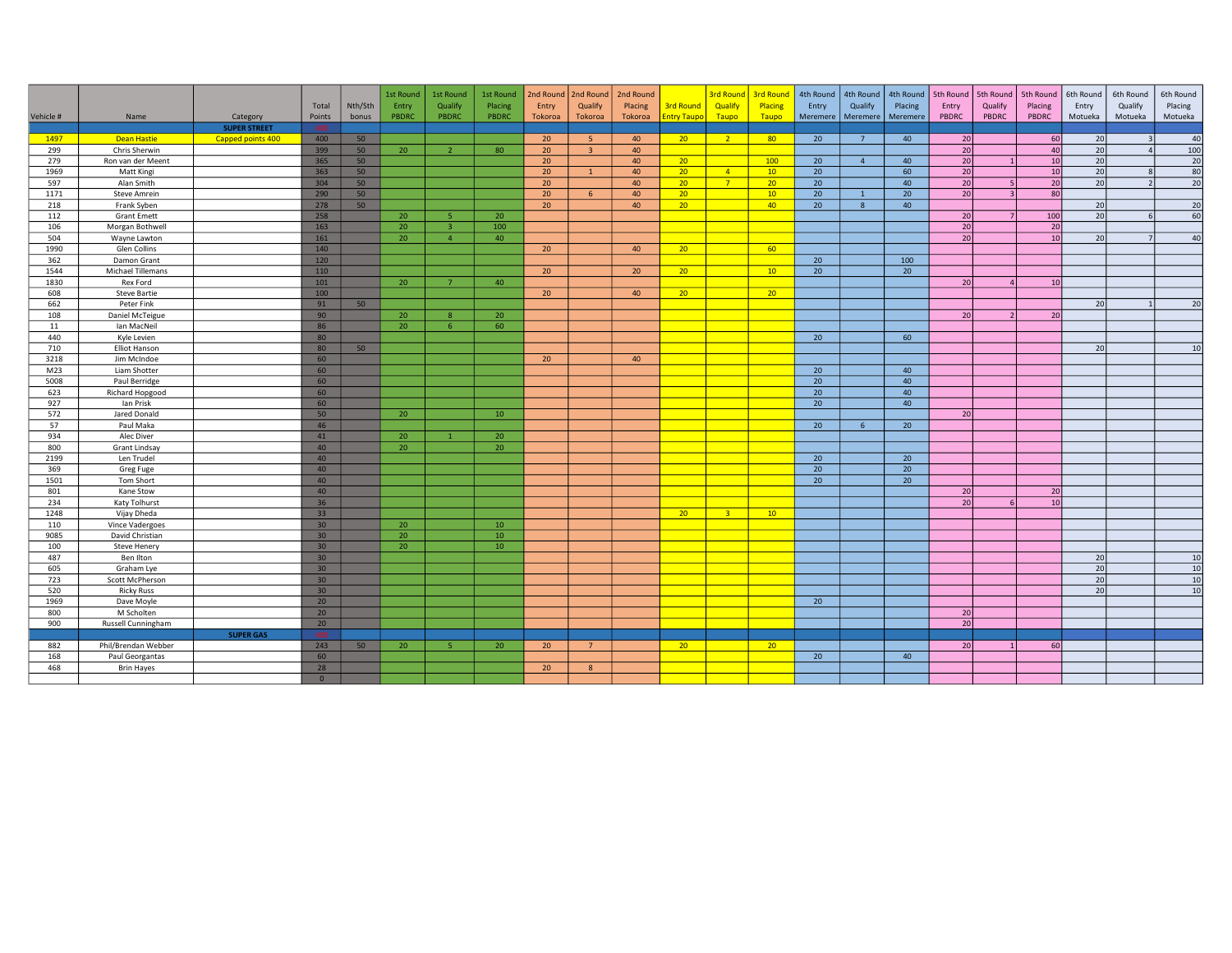|            |                                      |                     |                 |         | 1st Round | 1st Round      | 1st Round    | 2nd Round       | 2nd Round      | 2nd Round |                    | <b>3rd Round</b> | <b>3rd Round</b> | 4th Round | 4th Round      | 4th Round       | 5th Round       | 5th Round   5th Round    |                 | 6th Round       | 6th Round | 6th Round       |
|------------|--------------------------------------|---------------------|-----------------|---------|-----------|----------------|--------------|-----------------|----------------|-----------|--------------------|------------------|------------------|-----------|----------------|-----------------|-----------------|--------------------------|-----------------|-----------------|-----------|-----------------|
|            |                                      |                     | Total           | Nth/Sth | Entry     | Qualify        | Placing      | Entry           | Qualify        | Placing   | <b>3rd Round</b>   | Qualify          | Placing          | Entry     | Qualify        | Placing         | Entry           | Qualify                  | Placing         | Entry           | Qualify   | Placing         |
| Vehicle #  | Name                                 | Category            | Points          | bonus   | PBDRC     | PBDRC          | <b>PBDRC</b> | Tokoroa         | Tokoroa        | Tokoroa   | <b>Intry Taupo</b> | Taupo            | Taupo            | Meremere  | Meremere       | Meremere        | PBDRC           | PBDRC                    | PBDRC           | Motueka         | Motueka   | Motueka         |
|            |                                      | <b>SUPER STREET</b> | 400             |         |           |                |              |                 |                |           |                    |                  |                  |           |                |                 |                 |                          |                 |                 |           |                 |
| 1497       | <b>Dean Hastie</b>                   | Capped points 400   | 400             | 50      |           |                |              | 20              | 5              | 40        | 20 <sup>2</sup>    | $\overline{2}$   | 80 <sup>°</sup>  | 20        | $\overline{7}$ | 40              | 20              |                          | 60              | 20              |           | 40              |
| 299        | Chris Sherwin                        |                     | 399             | 50      | 20        | $\overline{2}$ | 80           | 20 <sub>2</sub> | $\overline{z}$ | 40        |                    |                  |                  |           |                |                 | 20              |                          | 40              | 20              |           | $\frac{100}{2}$ |
| 279        | Ron van der Meent                    |                     | 365             | 50      |           |                |              | 20 <sup>°</sup> |                | 40        | 20 <sup>°</sup>    |                  | 100              | 20        | $\overline{4}$ | 40              | 20              | $\overline{1}$           | 10 <sup>1</sup> | 20              |           | 20              |
| 1969       | Matt Kingi                           |                     | 363             | 50      |           |                |              | 20 <sup>°</sup> | $\mathbf{1}$   | 40        | 20 <sup>2</sup>    | $\overline{4}$   | 10 <sup>°</sup>  | 20        |                | 60              | 20              |                          | 10              | 20              |           | 80              |
| 597        | Alan Smith                           |                     | 304             | 50      |           |                |              | 20              |                | 40        | 20 <sup>2</sup>    | $7^{\circ}$      | 20               | 20        |                | 40              | 20              |                          | 20 <sup>1</sup> | 20              |           | 20              |
| 1171       | <b>Steve Amrein</b>                  |                     | 290             | 50      |           |                |              | 20 <sup>°</sup> | 6              | 40        | 20 <sup>2</sup>    |                  | 10               | 20        | $\mathbf{1}$   | 20 <sup>°</sup> | $\overline{20}$ | $\overline{\mathbf{z}}$  | 80              |                 |           |                 |
| 218        | Frank Syben                          |                     | 278             | 50      |           |                |              | 20              |                | 40        | 20 <sup>2</sup>    |                  | 40               | 20        | 8              | 40              |                 |                          |                 | 20              |           | 20              |
| 112        | <b>Grant Emett</b>                   |                     | 258             |         | 20        | -5             | 20           |                 |                |           |                    |                  |                  |           |                |                 | 20              |                          | 100             | 20              |           | 60              |
| 106        | Morgan Bothwell                      |                     | 163             |         | 20        | $\overline{3}$ | 100          |                 |                |           |                    |                  |                  |           |                |                 | 20              |                          | 20              |                 |           |                 |
| 504        | Wayne Lawton                         |                     | 161             |         | 20        | $\overline{4}$ | 40           |                 |                |           |                    |                  |                  |           |                |                 | 20              |                          | 10              | 20              |           | 40              |
| 1990       | Glen Collins                         |                     | 140             |         |           |                |              | 20              |                | 40        | 20 <sup>2</sup>    |                  | 60               |           |                |                 |                 |                          |                 |                 |           |                 |
| 362        | Damon Grant                          |                     | 120             |         |           |                |              |                 |                |           |                    |                  |                  | 20        |                | 100             |                 |                          |                 |                 |           |                 |
| 1544       | Michael Tillemans                    |                     | 110             |         |           |                |              | 20              |                | 20        | 20 <sup>°</sup>    |                  | 10 <sup>°</sup>  | 20        |                | 20              |                 |                          |                 |                 |           |                 |
| 1830       | Rex Ford                             |                     | 101             |         | 20        | $\overline{7}$ | 40           |                 |                |           |                    |                  |                  |           |                |                 | 20              | $\Delta$                 | 10 <sup>1</sup> |                 |           |                 |
| 608        | <b>Steve Bartie</b>                  |                     | 100             |         |           |                |              | 20              |                | 40        | 20 <sup>2</sup>    |                  | 20 <sup>2</sup>  |           |                |                 |                 |                          |                 |                 |           |                 |
| 662        | Peter Fink                           |                     | 91              | 50      |           |                |              |                 |                |           |                    |                  |                  |           |                |                 |                 |                          |                 | 20              |           | 20              |
| 108        | Daniel McTeigue                      |                     | 90              |         | 20        | $\mathbf{R}$   | 20           |                 |                |           |                    |                  |                  |           |                |                 | 20              | $\overline{\phantom{a}}$ | 20 <sup>1</sup> |                 |           |                 |
| 11         | Ian MacNeil                          |                     | 86              |         | 20        | $\epsilon$     | 60           |                 |                |           |                    |                  |                  |           |                |                 |                 |                          |                 |                 |           |                 |
| 440        | Kyle Levien                          |                     | 80              |         |           |                |              |                 |                |           |                    |                  |                  | 20        |                | 60              |                 |                          |                 |                 |           |                 |
| 710        | Elliot Hanson                        |                     | 80              | 50      |           |                |              |                 |                |           |                    |                  |                  |           |                |                 |                 |                          |                 | 20              |           | 10              |
| 3218       | Jim McIndoe                          |                     | 60              |         |           |                |              | 20              |                | 40        |                    |                  |                  |           |                |                 |                 |                          |                 |                 |           |                 |
| M23        | Liam Shotter                         |                     | 60              |         |           |                |              |                 |                |           |                    |                  |                  | 20        |                | 40              |                 |                          |                 |                 |           |                 |
| 5008       | Paul Berridge                        |                     | 60              |         |           |                |              |                 |                |           |                    |                  |                  | 20        |                | 40              |                 |                          |                 |                 |           |                 |
| 623        | Richard Hopgood                      |                     | 60              |         |           |                |              |                 |                |           |                    |                  |                  | 20        |                | 40              |                 |                          |                 |                 |           |                 |
| 927        | Ian Prisk                            |                     | 60              |         |           |                |              |                 |                |           |                    |                  |                  | 20        |                | 40              |                 |                          |                 |                 |           |                 |
| 572        | Jared Donald                         |                     | 50              |         | 20        |                | 10           |                 |                |           |                    |                  |                  |           |                |                 | 20              |                          |                 |                 |           |                 |
| 57         | Paul Maka                            |                     | 46              |         |           |                |              |                 |                |           |                    |                  |                  | 20        | 6 <sup>6</sup> | 20 <sup>°</sup> |                 |                          |                 |                 |           |                 |
| 934        | Alec Diver                           |                     | 41              |         | 20        | $\overline{1}$ | 20           |                 |                |           |                    |                  |                  |           |                |                 |                 |                          |                 |                 |           |                 |
| 800        | Grant Lindsay                        |                     | 40              |         | 20        |                | 20           |                 |                |           |                    |                  |                  |           |                |                 |                 |                          |                 |                 |           |                 |
| 2199       | Len Trudel                           |                     | 40              |         |           |                |              |                 |                |           |                    |                  |                  | 20        |                | 20              |                 |                          |                 |                 |           |                 |
| 369        | Greg Fuge                            |                     | 40              |         |           |                |              |                 |                |           |                    |                  |                  | 20        |                | 20              |                 |                          |                 |                 |           |                 |
| 1501       | Tom Short                            |                     | 40              |         |           |                |              |                 |                |           |                    |                  |                  | 20        |                | 20              |                 |                          |                 |                 |           |                 |
| 801        | Kane Stow                            |                     | 40              |         |           |                |              |                 |                |           |                    |                  |                  |           |                |                 | 20              |                          | 20              |                 |           |                 |
| 234        | Katy Tolhurst                        |                     | 36 <sup>°</sup> |         |           |                |              |                 |                |           |                    |                  |                  |           |                |                 | 20              |                          | 10              |                 |           |                 |
| 1248       | Vijay Dheda                          |                     | 33              |         |           |                |              |                 |                |           | 20 <sup>2</sup>    | 3 <sup>2</sup>   | $10-10$          |           |                |                 |                 |                          |                 |                 |           |                 |
| 110        | Vince Vadergoes                      |                     | 30 <sub>2</sub> |         | 20        |                | 10           |                 |                |           |                    |                  |                  |           |                |                 |                 |                          |                 |                 |           |                 |
| 9085       | David Christian                      |                     | 30 <sup>°</sup> |         | 20        |                | 10           |                 |                |           |                    |                  |                  |           |                |                 |                 |                          |                 |                 |           |                 |
| 100        | <b>Steve Henery</b>                  |                     | 30 <sup>°</sup> |         | 20        |                | 10           |                 |                |           |                    |                  |                  |           |                |                 |                 |                          |                 |                 |           |                 |
| 487        | Ben Ilton                            |                     | 30 <sup>°</sup> |         |           |                |              |                 |                |           |                    |                  |                  |           |                |                 |                 |                          |                 | 20              |           | 10              |
| 605        | Graham Lye                           |                     | 30 <sup>°</sup> |         |           |                |              |                 |                |           |                    |                  |                  |           |                |                 |                 |                          |                 | 20              |           | 10 <sup>1</sup> |
| 723        | Scott McPherson                      |                     | 30              |         |           |                |              |                 |                |           |                    |                  |                  |           |                |                 |                 |                          |                 | 20              |           | 10              |
| 520        | <b>Ricky Russ</b>                    |                     | 30 <sup>°</sup> |         |           |                |              |                 |                |           |                    |                  |                  |           |                |                 |                 |                          |                 | $\overline{20}$ |           | 10              |
| 1969       | Dave Moyle                           |                     | 20 <sup>°</sup> |         |           |                |              |                 |                |           |                    |                  |                  | 20        |                |                 |                 |                          |                 |                 |           |                 |
| 800        | M Scholten                           |                     | 20 <sub>2</sub> |         |           |                |              |                 |                |           |                    |                  |                  |           |                |                 | 20              |                          |                 |                 |           |                 |
| 900        | Russell Cunningham                   |                     | 20              |         |           |                |              |                 |                |           |                    |                  |                  |           |                |                 | 20              |                          |                 |                 |           |                 |
|            |                                      | <b>SUPER GAS</b>    | 400             |         |           |                |              |                 |                |           |                    |                  |                  |           |                |                 |                 |                          |                 |                 |           |                 |
| 882<br>168 | Phil/Brendan Webber                  |                     | 243<br>60       | 50      | 20        | -5.            | 20           | 20              | $7^{\circ}$    |           | 20 <sup>°</sup>    |                  | 20 <sup>°</sup>  | 20        |                | 40              | 20              |                          | <b>60</b>       |                 |           |                 |
| 468        | Paul Georgantas<br><b>Brin Hayes</b> |                     | 28              |         |           |                |              | 20              | 8              |           |                    |                  |                  |           |                |                 |                 |                          |                 |                 |           |                 |
|            |                                      |                     | $\overline{0}$  |         |           |                |              |                 |                |           |                    |                  |                  |           |                |                 |                 |                          |                 |                 |           |                 |
|            |                                      |                     |                 |         |           |                |              |                 |                |           |                    |                  |                  |           |                |                 |                 |                          |                 |                 |           |                 |